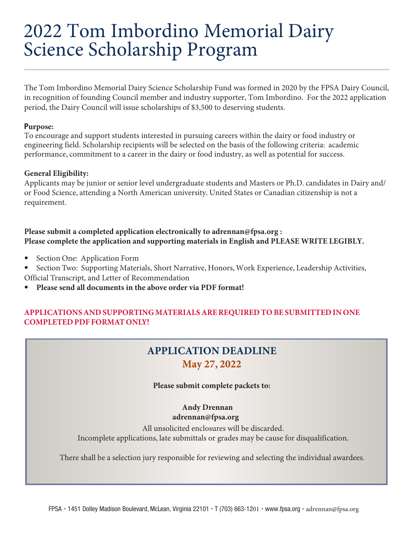# 2022 Tom Imbordino Memorial Dairy Science Scholarship Program

The Tom Imbordino Memorial Dairy Science Scholarship Fund was formed in 2020 by the FPSA Dairy Council, in recognition of founding Council member and industry supporter, Tom Imbordino. For the 2022 application period, the Dairy Council will issue scholarships of \$3,500 to deserving students.

### **Purpose:**

To encourage and support students interested in pursuing careers within the dairy or food industry or engineering field. Scholarship recipients will be selected on the basis of the following criteria: academic performance, commitment to a career in the dairy or food industry, as well as potential for success.

# **General Eligibility:**

Applicants may be junior or senior level undergraduate students and Masters or Ph.D. candidates in Dairy and/ or Food Science, attending a North American university. United States or Canadian citizenship is not a requirement.

# **Please submit a completed application electronically to adrennan@fpsa.org : Please complete the application and supporting materials in English and PLEASE WRITE LEGIBLY.**

- Section One: Application Form
- Section Two: Supporting Materials, Short Narrative, Honors, Work Experience, Leadership Activities, Official Transcript, and Letter of Recommendation
- **Please send all documents in the above order via PDF format!**

# **APPLICATIONS AND SUPPORTING MATERIALS ARE REQUIRED TO BE SUBMITTED IN ONE COMPLETED PDF FORMAT ONLY!**

# **APPLICATION DEADLINE May 27, 2022**

# **Please submit complete packets to:**

 **Andy Drennan adrennan@fpsa.org**

All unsolicited enclosures will be discarded. Incomplete applications, late submittals or grades may be cause for disqualification.

There shall be a selection jury responsible for reviewing and selecting the individual awardees.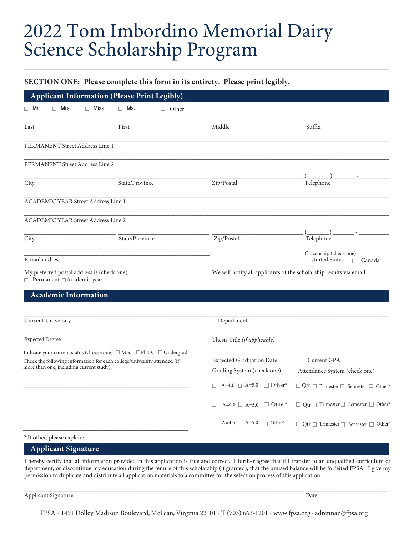# 2022 Tom Imbordino Memorial Dairy Science Scholarship Program

### **SECTION ONE: Please complete this form in its entirety. Please print legibly.**

|                                                                                                                                                                                                                       | <b>Applicant Information (Please Print Legibly)</b> |              |                                                                                                          |                                                                                                           |
|-----------------------------------------------------------------------------------------------------------------------------------------------------------------------------------------------------------------------|-----------------------------------------------------|--------------|----------------------------------------------------------------------------------------------------------|-----------------------------------------------------------------------------------------------------------|
| $\Box$ Mr.<br>$\Box$ Mrs.                                                                                                                                                                                             | $\Box$ Miss<br>$\Box$ Ms.                           | $\Box$ Other |                                                                                                          |                                                                                                           |
| Last                                                                                                                                                                                                                  | First                                               |              | Middle                                                                                                   | Suffix                                                                                                    |
| PERMANENT Street Address Line 1                                                                                                                                                                                       |                                                     |              |                                                                                                          |                                                                                                           |
| PERMANENT Street Address Line 2                                                                                                                                                                                       |                                                     |              |                                                                                                          |                                                                                                           |
| City                                                                                                                                                                                                                  | State/Province                                      |              | Zip/Postal                                                                                               | Telephone                                                                                                 |
| <b>ACADEMIC YEAR Street Address Line 1</b>                                                                                                                                                                            |                                                     |              |                                                                                                          |                                                                                                           |
| <b>ACADEMIC YEAR Street Address Line 2</b>                                                                                                                                                                            |                                                     |              |                                                                                                          |                                                                                                           |
| City                                                                                                                                                                                                                  | State/Province                                      |              | Zip/Postal                                                                                               | Telephone                                                                                                 |
| E-mail address                                                                                                                                                                                                        |                                                     |              |                                                                                                          | Citizenship (check one)<br>$\Box$ United States<br>$\Box$ Canada                                          |
| My preferred postal address is (check one):<br>□ Permanent □ Academic year                                                                                                                                            |                                                     |              | We will notify all applicants of the scholarship results via email.                                      |                                                                                                           |
| <b>Academic Information</b>                                                                                                                                                                                           |                                                     |              |                                                                                                          |                                                                                                           |
| <b>Current University</b>                                                                                                                                                                                             |                                                     |              | Department                                                                                               |                                                                                                           |
| <b>Expected Degree</b>                                                                                                                                                                                                |                                                     |              | Thesis Title (if applicable)                                                                             |                                                                                                           |
| Indicate your current status (choose one) $\square$ M.S. $\square$ Ph.D. $\square$ Undergrad.<br>Check the following information for each college/university attended (if<br>more than one, including current study): |                                                     |              | <b>Expected Graduation Date</b><br>Grading System (check one)<br>$\Box$ A=4.0 $\Box$ A=5.0 $\Box$ Other* | Current GPA<br>Attendance System (check one)<br>$\Box$ Qtr $\Box$ Trimester $\Box$ Semester $\Box$ Other* |
|                                                                                                                                                                                                                       |                                                     |              | $A=4.0$ $\Box$ $A=5.0$ $\Box$ Other*                                                                     | $\Box$ Qtr $\Box$ Trimester $\Box$ Semester $\Box$ Other*                                                 |
|                                                                                                                                                                                                                       |                                                     |              | A=4.0 $\Box$ A=5.0 $\Box$ Other*<br>П                                                                    | $\Box$ Qtr $\Box$ Trimester $\Box$ Semester $\Box$ Other*                                                 |
| * If other, please explain: _                                                                                                                                                                                         |                                                     |              |                                                                                                          |                                                                                                           |
| <b>Applicant Signature</b>                                                                                                                                                                                            |                                                     |              |                                                                                                          |                                                                                                           |

I hereby certify that all information provided in this application is true and correct. I further agree that if I transfer to an unqualified curriculum or department, or discontinue my education during the tenure of this scholarship (if granted), that the unused balance will be forfeited FPSA. I give my permission to duplicate and distribute all application materials to a committee for the selection process of this application.

\_\_\_\_\_\_\_\_\_\_\_\_\_\_\_\_\_\_\_\_\_\_\_\_\_\_\_\_\_\_\_\_\_\_\_\_\_\_\_\_\_\_\_\_\_\_\_\_\_\_\_\_\_\_\_\_\_\_\_\_\_\_\_\_\_\_\_\_\_\_\_\_\_\_\_\_\_\_\_\_\_\_\_\_\_\_\_\_\_\_\_\_ \_\_\_\_\_\_\_\_\_\_\_\_\_\_\_\_\_\_\_\_\_\_\_\_\_\_\_

Applicant Signature Date and Security and Security and Security and Security and Date Date Date Date and Security and Date Date of the Date of the United Security and Date of the United Security and Date of the United Secu

FPSA • 1451 Dolley Madison Boulevard, McLean, Virginia 22101 • T (703) 663-1201 • www.fpsa.org • adrennan@fpsa.org